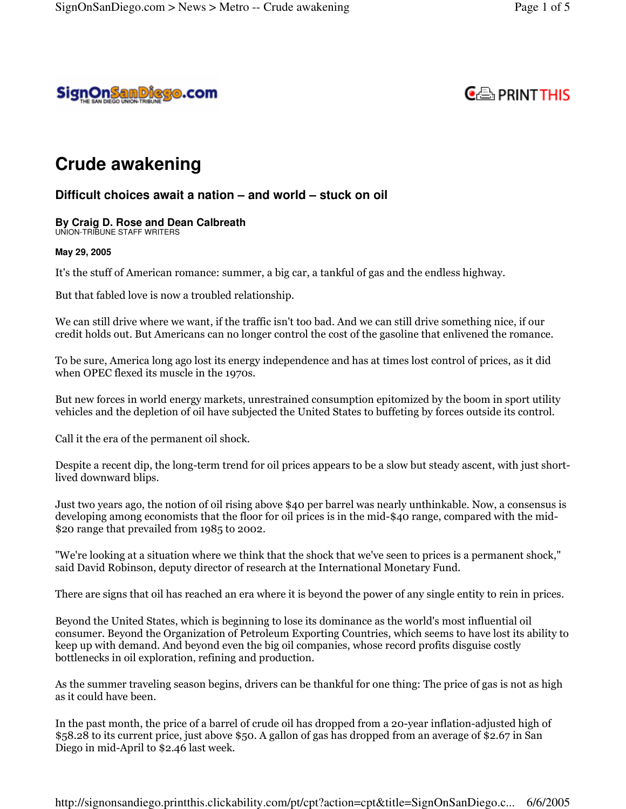



# **Crude awakening**

## **Difficult choices await a nation – and world – stuck on oil**

### **By Craig D. Rose and Dean Calbreath**

UNION-TRIBUNE STAFF WRITERS

#### **May 29, 2005**

It's the stuff of American romance: summer, a big car, a tankful of gas and the endless highway.

But that fabled love is now a troubled relationship.

We can still drive where we want, if the traffic isn't too bad. And we can still drive something nice, if our credit holds out. But Americans can no longer control the cost of the gasoline that enlivened the romance.

To be sure, America long ago lost its energy independence and has at times lost control of prices, as it did when OPEC flexed its muscle in the 1970s.

But new forces in world energy markets, unrestrained consumption epitomized by the boom in sport utility vehicles and the depletion of oil have subjected the United States to buffeting by forces outside its control.

Call it the era of the permanent oil shock.

Despite a recent dip, the long-term trend for oil prices appears to be a slow but steady ascent, with just shortlived downward blips.

Just two years ago, the notion of oil rising above \$40 per barrel was nearly unthinkable. Now, a consensus is developing among economists that the floor for oil prices is in the mid-\$40 range, compared with the mid-\$20 range that prevailed from  $1985$  to 2002.

"We're looking at a situation where we think that the shock that we've seen to prices is a permanent shock," said David Robinson, deputy director of research at the International Monetary Fund.

There are signs that oil has reached an era where it is beyond the power of any single entity to rein in prices.

Beyond the United States, which is beginning to lose its dominance as the world's most influential oil consumer. Beyond the Organization of Petroleum Exporting Countries, which seems to have lost its ability to keep up with demand. And beyond even the big oil companies, whose record profits disguise costly bottlenecks in oil exploration, refining and production.

As the summer traveling season begins, drivers can be thankful for one thing: The price of gas is not as high as it could have been.

In the past month, the price of a barrel of crude oil has dropped from a 20-year inflation-adjusted high of  $\$58.28$  to its current price, just above  $\$50.$  A gallon of gas has dropped from an average of  $\$2.67$  in San Diego in mid-April to \$2.46 last week.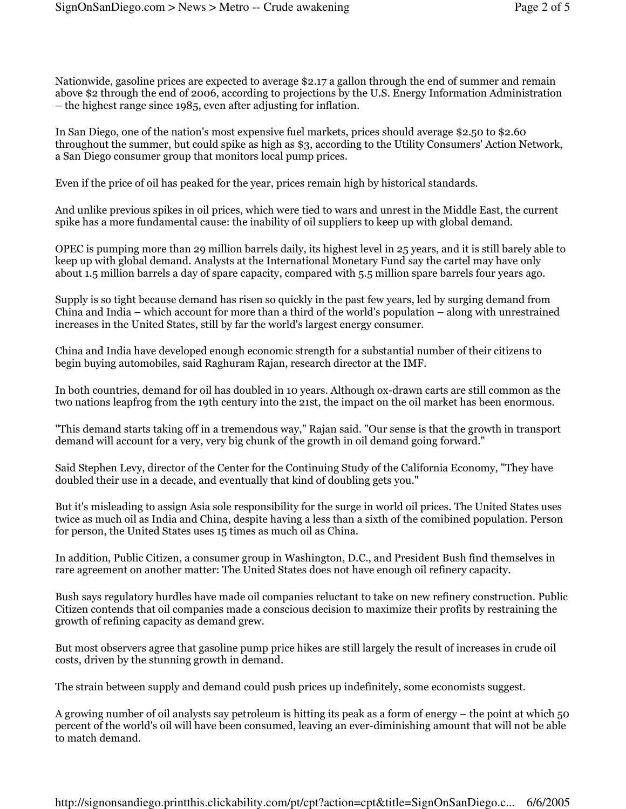Nationwide, gasoline prices are expected to average \$2.17 a gallon through the end of summer and remain above \$2 through the end of 2006, according to projections by the U.S. Energy Information Administration  $-$  the highest range since 1985, even after adjusting for inflation.

In San Diego, one of the nation's most expensive fuel markets, prices should average \$2.50 to \$2.60 throughout the summer, but could spike as high as \$3, according to the Utility Consumers' Action Network, a San Diego consumer group that monitors local pump prices.

Even if the price of oil has peaked for the year, prices remain high by historical standards.

And unlike previous spikes in oil prices, which were tied to wars and unrest in the Middle East, the current spike has a more fundamental cause: the inability of oil suppliers to keep up with global demand.

OPEC is pumping more than 29 million barrels daily, its highest level in 25 years, and it is still barely able to keep up with global demand. Analysts at the International Monetary Fund say the cartel may have only about 1.5 million barrels a day of spare capacity, compared with 5.5 million spare barrels four years ago.

Supply is so tight because demand has risen so quickly in the past few years, led by surging demand from China and India – which account for more than a third of the world's population – along with unrestrained increases in the United States, still by far the world's largest energy consumer.

China and India have developed enough economic strength for a substantial number of their citizens to begin buying automobiles, said Raghuram Rajan, research director at the IMF.

In both countries, demand for oil has doubled in 10 years. Although ox-drawn carts are still common as the two nations leapfrog from the 19th century into the 21st, the impact on the oil market has been enormous.

"This demand starts taking off in a tremendous way," Rajan said. "Our sense is that the growth in transport" demand will account for a very, very big chunk of the growth in oil demand going forward."

Said Stephen Levy, director of the Center for the Continuing Study of the California Economy, "They have doubled their use in a decade, and eventually that kind of doubling gets you."

But it's misleading to assign Asia sole responsibility for the surge in world oil prices. The United States uses twice as much oil as India and China, despite having a less than a sixth of the comibined population. Person for person, the United States uses 15 times as much oil as China.

In addition, Public Citizen, a consumer group in Washington, D.C., and President Bush find themselves in rare agreement on another matter: The United States does not have enough oil refinery capacity.

Bush says regulatory hurdles have made oil companies reluctant to take on new refinery construction. Public Citizen contends that oil companies made a conscious decision to maximize their profits by restraining the growth of refining capacity as demand grew.

But most observers agree that gasoline pump price hikes are still largely the result of increases in crude oil costs, driven by the stunning growth in demand.

The strain between supply and demand could push prices up indefinitely, some economists suggest.

A growing number of oil analysts say petroleum is hitting its peak as a form of energy – the point at which 50 percent of the world's oil will have been consumed, leaving an ever-diminishing amount that will not be able to match demand.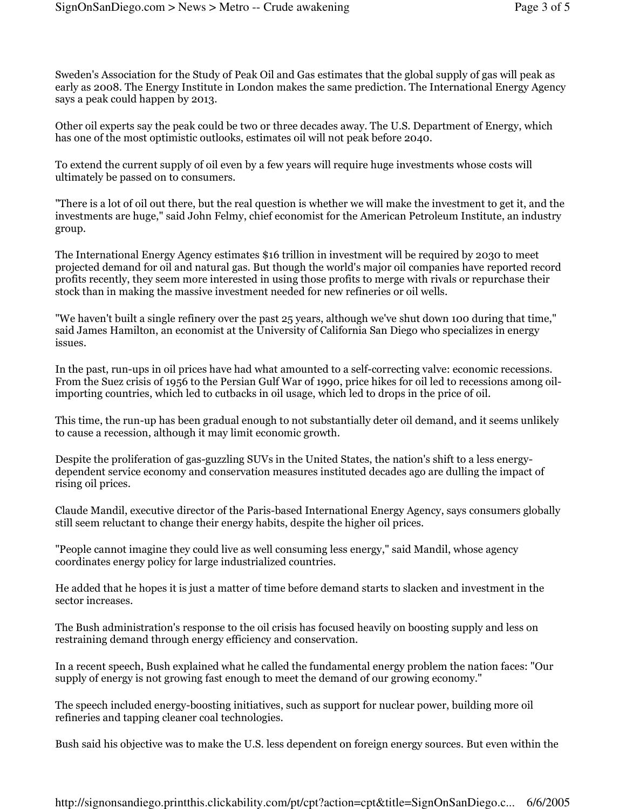Sweden's Association for the Study of Peak Oil and Gas estimates that the global supply of gas will peak as early as 2008. The Energy Institute in London makes the same prediction. The International Energy Agency says a peak could happen by 2013.

Other oil experts say the peak could be two or three decades away. The U.S. Department of Energy, which has one of the most optimistic outlooks, estimates oil will not peak before 2040.

To extend the current supply of oil even by a few years will require huge investments whose costs will ultimately be passed on to consumers.

"There is a lot of oil out there, but the real question is whether we will make the investment to get it, and the investments are huge," said John Felmy, chief economist for the American Petroleum Institute, an industry group.

The International Energy Agency estimates \$16 trillion in investment will be required by 2030 to meet projected demand for oil and natural gas. But though the world's major oil companies have reported record profits recently, they seem more interested in using those profits to merge with rivals or repurchase their stock than in making the massive investment needed for new refineries or oil wells.

"We haven't built a single refinery over the past 25 years, although we've shut down 100 during that time," said James Hamilton, an economist at the University of California San Diego who specializes in energy issues.

In the past, run-ups in oil prices have had what amounted to a self-correcting valve: economic recessions. From the Suez crisis of 1956 to the Persian Gulf War of 1990, price hikes for oil led to recessions among oilimporting countries, which led to cutbacks in oil usage, which led to drops in the price of oil.

This time, the run-up has been gradual enough to not substantially deter oil demand, and it seems unlikely to cause a recession, although it may limit economic growth.

Despite the proliferation of gas-guzzling SUVs in the United States, the nation's shift to a less energydependent service economy and conservation measures instituted decades ago are dulling the impact of rising oil prices.

Claude Mandil, executive director of the Paris-based International Energy Agency, says consumers globally still seem reluctant to change their energy habits, despite the higher oil prices.

"People cannot imagine they could live as well consuming less energy," said Mandil, whose agency coordinates energy policy for large industrialized countries.

He added that he hopes it is just a matter of time before demand starts to slacken and investment in the sector increases.

The Bush administration's response to the oil crisis has focused heavily on boosting supply and less on restraining demand through energy efficiency and conservation.

In a recent speech, Bush explained what he called the fundamental energy problem the nation faces: "Our supply of energy is not growing fast enough to meet the demand of our growing economy."

The speech included energy-boosting initiatives, such as support for nuclear power, building more oil refineries and tapping cleaner coal technologies.

Bush said his objective was to make the U.S. less dependent on foreign energy sources. But even within the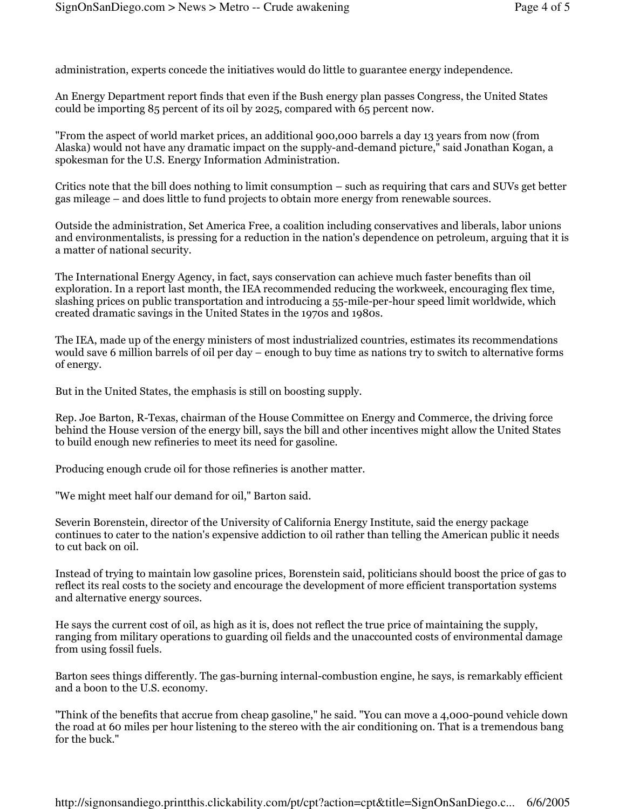administration, experts concede the initiatives would do little to guarantee energy independence.

An Energy Department report finds that even if the Bush energy plan passes Congress, the United States could be importing 85 percent of its oil by 2025, compared with 65 percent now.

"From the aspect of world market prices, an additional 900,000 barrels a day 13 years from now (from Alaska) would not have any dramatic impact on the supply-and-demand picture," said Jonathan Kogan, a spokesman for the U.S. Energy Information Administration.

Critics note that the bill does nothing to limit consumption – such as requiring that cars and SUVs get better gas mileage – and does little to fund projects to obtain more energy from renewable sources.

Outside the administration, Set America Free, a coalition including conservatives and liberals, labor unions and environmentalists, is pressing for a reduction in the nation's dependence on petroleum, arguing that it is a matter of national security.

The International Energy Agency, in fact, says conservation can achieve much faster benefits than oil exploration. In a report last month, the IEA recommended reducing the workweek, encouraging flex time, slashing prices on public transportation and introducing a 55-mile-per-hour speed limit worldwide, which created dramatic savings in the United States in the 1970s and 1980s.

The IEA, made up of the energy ministers of most industrialized countries, estimates its recommendations would save 6 million barrels of oil per day – enough to buy time as nations try to switch to alternative forms of energy.

But in the United States, the emphasis is still on boosting supply.

Rep. Joe Barton, R-Texas, chairman of the House Committee on Energy and Commerce, the driving force behind the House version of the energy bill, says the bill and other incentives might allow the United States to build enough new refineries to meet its need for gasoline.

Producing enough crude oil for those refineries is another matter.

"We might meet half our demand for oil," Barton said.

Severin Borenstein, director of the University of California Energy Institute, said the energy package continues to cater to the nation's expensive addiction to oil rather than telling the American public it needs to cut back on oil.

Instead of trying to maintain low gasoline prices, Borenstein said, politicians should boost the price of gas to reflect its real costs to the society and encourage the development of more efficient transportation systems and alternative energy sources.

He says the current cost of oil, as high as it is, does not reflect the true price of maintaining the supply, ranging from military operations to guarding oil fields and the unaccounted costs of environmental damage from using fossil fuels.

Barton sees things differently. The gas-burning internal-combustion engine, he says, is remarkably efficient and a boon to the U.S. economy.

"Think of the benefits that accrue from cheap gasoline," he said. "You can move a 4,000-pound vehicle down the road at 60 miles per hour listening to the stereo with the air conditioning on. That is a tremendous bang for the buck."

http://signonsandiego.printthis.clickability.com/pt/cpt?action=cpt&title=SignOnSanDiego.c... 6/6/2005